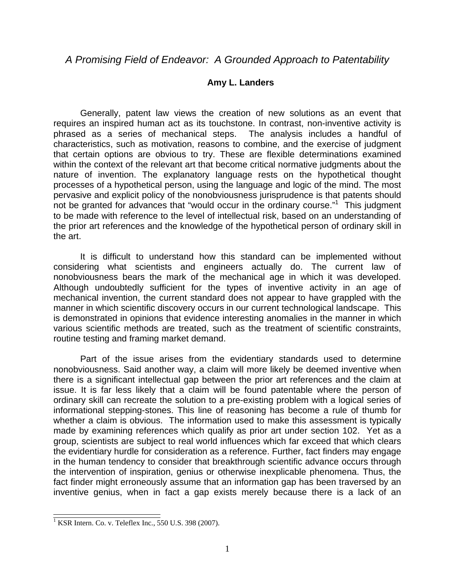## *A Promising Field of Endeavor: A Grounded Approach to Patentability*

## **Amy L. Landers**

Generally, patent law views the creation of new solutions as an event that requires an inspired human act as its touchstone. In contrast, non-inventive activity is phrased as a series of mechanical steps. The analysis includes a handful of characteristics, such as motivation, reasons to combine, and the exercise of judgment that certain options are obvious to try. These are flexible determinations examined within the context of the relevant art that become critical normative judgments about the nature of invention. The explanatory language rests on the hypothetical thought processes of a hypothetical person, using the language and logic of the mind. The most pervasive and explicit policy of the nonobviousness jurisprudence is that patents should not be granted for advances that "would occur in the ordinary course."<sup>1</sup> This judgment to be made with reference to the level of intellectual risk, based on an understanding of the prior art references and the knowledge of the hypothetical person of ordinary skill in the art.

It is difficult to understand how this standard can be implemented without considering what scientists and engineers actually do. The current law of nonobviousness bears the mark of the mechanical age in which it was developed. Although undoubtedly sufficient for the types of inventive activity in an age of mechanical invention, the current standard does not appear to have grappled with the manner in which scientific discovery occurs in our current technological landscape. This is demonstrated in opinions that evidence interesting anomalies in the manner in which various scientific methods are treated, such as the treatment of scientific constraints, routine testing and framing market demand.

Part of the issue arises from the evidentiary standards used to determine nonobviousness. Said another way, a claim will more likely be deemed inventive when there is a significant intellectual gap between the prior art references and the claim at issue. It is far less likely that a claim will be found patentable where the person of ordinary skill can recreate the solution to a pre-existing problem with a logical series of informational stepping-stones. This line of reasoning has become a rule of thumb for whether a claim is obvious. The information used to make this assessment is typically made by examining references which qualify as prior art under section 102. Yet as a group, scientists are subject to real world influences which far exceed that which clears the evidentiary hurdle for consideration as a reference. Further, fact finders may engage in the human tendency to consider that breakthrough scientific advance occurs through the intervention of inspiration, genius or otherwise inexplicable phenomena. Thus, the fact finder might erroneously assume that an information gap has been traversed by an inventive genius, when in fact a gap exists merely because there is a lack of an

 $\overline{a}$ 

<sup>&</sup>lt;sup>1</sup> KSR Intern. Co. v. Teleflex Inc., 550 U.S. 398 (2007).